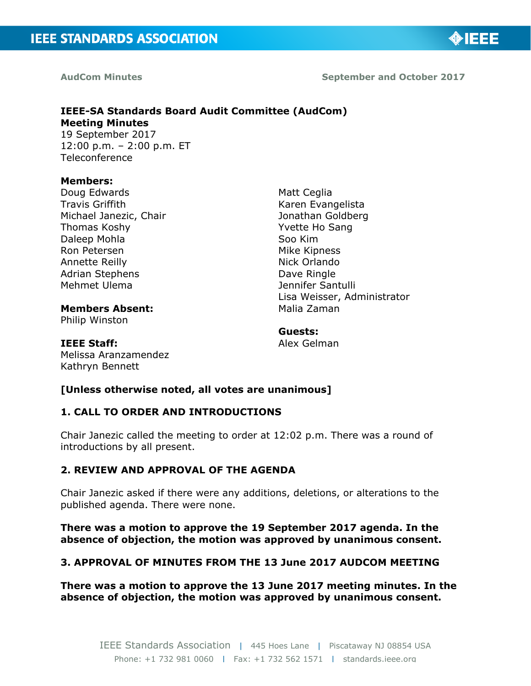

**AudCom Minutes September and October 2017**

### **IEEE-SA Standards Board Audit Committee (AudCom) Meeting Minutes**  19 September 2017

12:00 p.m. – 2:00 p.m. ET **Teleconference** 

#### **Members:**

Doug Edwards Travis Griffith Michael Janezic, Chair Thomas Koshy Daleep Mohla Ron Petersen Annette Reilly Adrian Stephens Mehmet Ulema

Matt Ceglia Karen Evangelista Jonathan Goldberg Yvette Ho Sang Soo Kim Mike Kipness Nick Orlando Dave Ringle Jennifer Santulli Lisa Weisser, Administrator Malia Zaman

# **Members Absent:**

Philip Winston

**Guests:** 

#### **IEEE Staff:**

Melissa Aranzamendez Kathryn Bennett

Alex Gelman

### **[Unless otherwise noted, all votes are unanimous]**

### **1. CALL TO ORDER AND INTRODUCTIONS**

Chair Janezic called the meeting to order at 12:02 p.m. There was a round of introductions by all present.

### **2. REVIEW AND APPROVAL OF THE AGENDA**

Chair Janezic asked if there were any additions, deletions, or alterations to the published agenda. There were none.

**There was a motion to approve the 19 September 2017 agenda. In the absence of objection, the motion was approved by unanimous consent.**

## **3. APPROVAL OF MINUTES FROM THE 13 June 2017 AUDCOM MEETING**

**There was a motion to approve the 13 June 2017 meeting minutes. In the absence of objection, the motion was approved by unanimous consent.**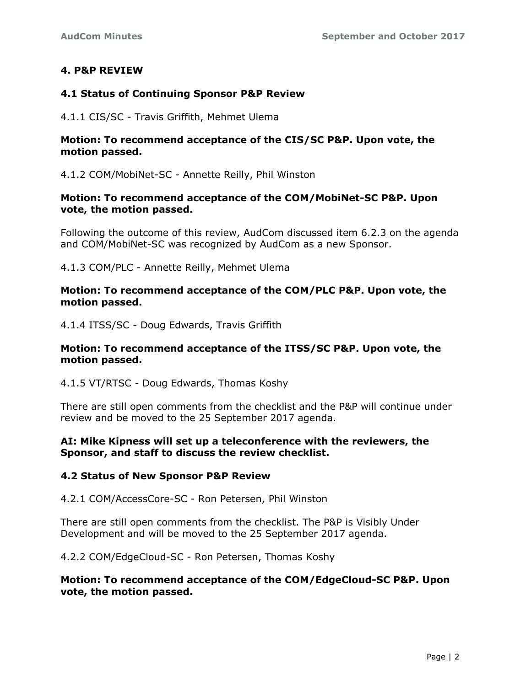### **4. P&P REVIEW**

#### **4.1 Status of Continuing Sponsor P&P Review**

4.1.1 CIS/SC - Travis Griffith, Mehmet Ulema

#### **Motion: To recommend acceptance of the CIS/SC P&P. Upon vote, the motion passed.**

4.1.2 COM/MobiNet-SC - Annette Reilly, Phil Winston

#### **Motion: To recommend acceptance of the COM/MobiNet-SC P&P. Upon vote, the motion passed.**

Following the outcome of this review, AudCom discussed item 6.2.3 on the agenda and COM/MobiNet-SC was recognized by AudCom as a new Sponsor.

4.1.3 COM/PLC - Annette Reilly, Mehmet Ulema

#### **Motion: To recommend acceptance of the COM/PLC P&P. Upon vote, the motion passed.**

4.1.4 ITSS/SC - Doug Edwards, Travis Griffith

#### **Motion: To recommend acceptance of the ITSS/SC P&P. Upon vote, the motion passed.**

4.1.5 VT/RTSC - Doug Edwards, Thomas Koshy

There are still open comments from the checklist and the P&P will continue under review and be moved to the 25 September 2017 agenda.

#### **AI: Mike Kipness will set up a teleconference with the reviewers, the Sponsor, and staff to discuss the review checklist.**

#### **4.2 Status of New Sponsor P&P Review**

4.2.1 COM/AccessCore-SC - Ron Petersen, Phil Winston

There are still open comments from the checklist. The P&P is Visibly Under Development and will be moved to the 25 September 2017 agenda.

4.2.2 COM/EdgeCloud-SC - Ron Petersen, Thomas Koshy

#### **Motion: To recommend acceptance of the COM/EdgeCloud-SC P&P. Upon vote, the motion passed.**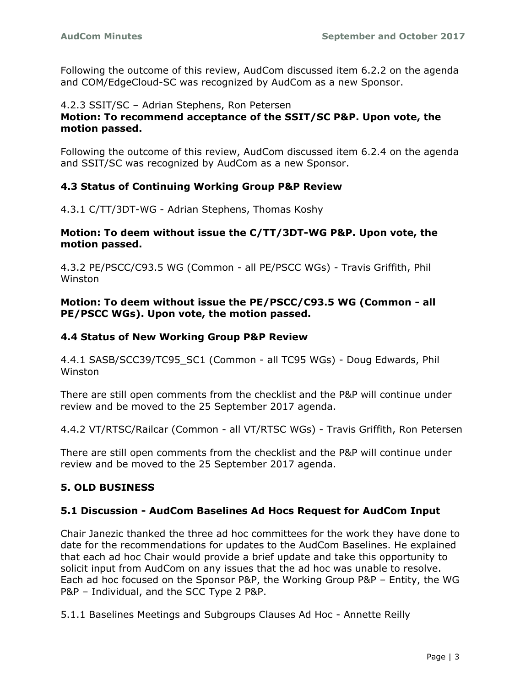Following the outcome of this review, AudCom discussed item 6.2.2 on the agenda and COM/EdgeCloud-SC was recognized by AudCom as a new Sponsor.

#### 4.2.3 SSIT/SC – Adrian Stephens, Ron Petersen **Motion: To recommend acceptance of the SSIT/SC P&P. Upon vote, the motion passed.**

Following the outcome of this review, AudCom discussed item 6.2.4 on the agenda and SSIT/SC was recognized by AudCom as a new Sponsor.

### **4.3 Status of Continuing Working Group P&P Review**

4.3.1 C/TT/3DT-WG - Adrian Stephens, Thomas Koshy

#### **Motion: To deem without issue the C/TT/3DT-WG P&P. Upon vote, the motion passed.**

4.3.2 PE/PSCC/C93.5 WG (Common - all PE/PSCC WGs) - Travis Griffith, Phil Winston

**Motion: To deem without issue the PE/PSCC/C93.5 WG (Common - all PE/PSCC WGs). Upon vote, the motion passed.**

#### **4.4 Status of New Working Group P&P Review**

4.4.1 SASB/SCC39/TC95\_SC1 (Common - all TC95 WGs) - Doug Edwards, Phil Winston

There are still open comments from the checklist and the P&P will continue under review and be moved to the 25 September 2017 agenda.

4.4.2 VT/RTSC/Railcar (Common - all VT/RTSC WGs) - Travis Griffith, Ron Petersen

There are still open comments from the checklist and the P&P will continue under review and be moved to the 25 September 2017 agenda.

### **5. OLD BUSINESS**

#### **5.1 Discussion - AudCom Baselines Ad Hocs Request for AudCom Input**

Chair Janezic thanked the three ad hoc committees for the work they have done to date for the recommendations for updates to the AudCom Baselines. He explained that each ad hoc Chair would provide a brief update and take this opportunity to solicit input from AudCom on any issues that the ad hoc was unable to resolve. Each ad hoc focused on the Sponsor P&P, the Working Group P&P – Entity, the WG P&P – Individual, and the SCC Type 2 P&P.

5.1.1 Baselines Meetings and Subgroups Clauses Ad Hoc - Annette Reilly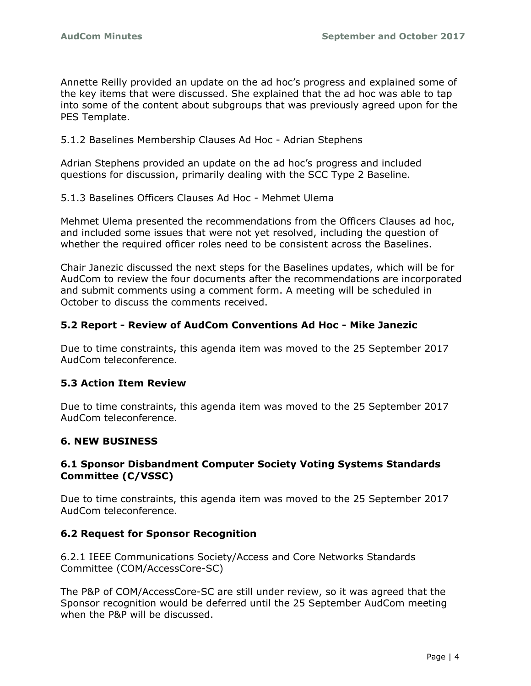Annette Reilly provided an update on the ad hoc's progress and explained some of the key items that were discussed. She explained that the ad hoc was able to tap into some of the content about subgroups that was previously agreed upon for the PES Template.

5.1.2 Baselines Membership Clauses Ad Hoc - Adrian Stephens

Adrian Stephens provided an update on the ad hoc's progress and included questions for discussion, primarily dealing with the SCC Type 2 Baseline.

5.1.3 Baselines Officers Clauses Ad Hoc - Mehmet Ulema

Mehmet Ulema presented the recommendations from the Officers Clauses ad hoc, and included some issues that were not yet resolved, including the question of whether the required officer roles need to be consistent across the Baselines.

Chair Janezic discussed the next steps for the Baselines updates, which will be for AudCom to review the four documents after the recommendations are incorporated and submit comments using a comment form. A meeting will be scheduled in October to discuss the comments received.

### **5.2 Report - Review of AudCom Conventions Ad Hoc - Mike Janezic**

Due to time constraints, this agenda item was moved to the 25 September 2017 AudCom teleconference.

### **5.3 Action Item Review**

Due to time constraints, this agenda item was moved to the 25 September 2017 AudCom teleconference.

### **6. NEW BUSINESS**

### **6.1 Sponsor Disbandment Computer Society Voting Systems Standards Committee (C/VSSC)**

Due to time constraints, this agenda item was moved to the 25 September 2017 AudCom teleconference.

### **6.2 Request for Sponsor Recognition**

6.2.1 IEEE Communications Society/Access and Core Networks Standards Committee (COM/AccessCore-SC)

The P&P of COM/AccessCore-SC are still under review, so it was agreed that the Sponsor recognition would be deferred until the 25 September AudCom meeting when the P&P will be discussed.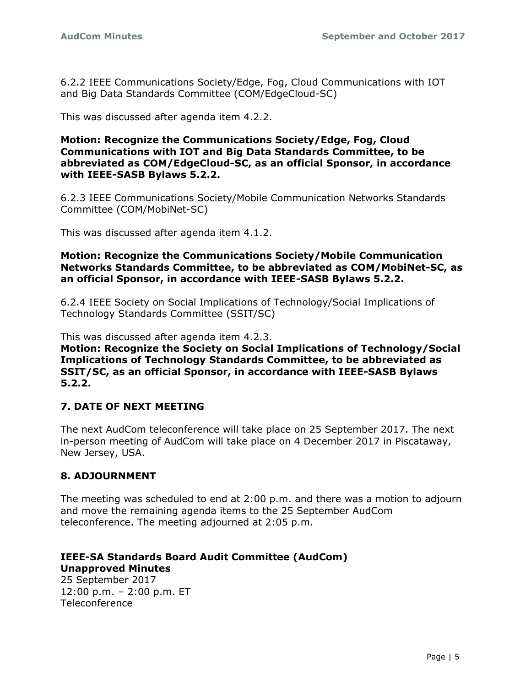6.2.2 IEEE Communications Society/Edge, Fog, Cloud Communications with IOT and Big Data Standards Committee (COM/EdgeCloud-SC)

This was discussed after agenda item 4.2.2.

#### **Motion: Recognize the Communications Society/Edge, Fog, Cloud Communications with IOT and Big Data Standards Committee, to be abbreviated as COM/EdgeCloud-SC, as an official Sponsor, in accordance with IEEE-SASB Bylaws 5.2.2.**

6.2.3 IEEE Communications Society/Mobile Communication Networks Standards Committee (COM/MobiNet-SC)

This was discussed after agenda item 4.1.2.

#### **Motion: Recognize the Communications Society/Mobile Communication Networks Standards Committee, to be abbreviated as COM/MobiNet-SC, as an official Sponsor, in accordance with IEEE-SASB Bylaws 5.2.2.**

6.2.4 IEEE Society on Social Implications of Technology/Social Implications of Technology Standards Committee (SSIT/SC)

This was discussed after agenda item 4.2.3.

**Motion: Recognize the Society on Social Implications of Technology/Social Implications of Technology Standards Committee, to be abbreviated as SSIT/SC, as an official Sponsor, in accordance with IEEE-SASB Bylaws 5.2.2.**

### **7. DATE OF NEXT MEETING**

The next AudCom teleconference will take place on 25 September 2017. The next in-person meeting of AudCom will take place on 4 December 2017 in Piscataway, New Jersey, USA.

### **8. ADJOURNMENT**

The meeting was scheduled to end at 2:00 p.m. and there was a motion to adjourn and move the remaining agenda items to the 25 September AudCom teleconference. The meeting adjourned at 2:05 p.m.

### **IEEE-SA Standards Board Audit Committee (AudCom) Unapproved Minutes**

25 September 2017 12:00 p.m. – 2:00 p.m. ET Teleconference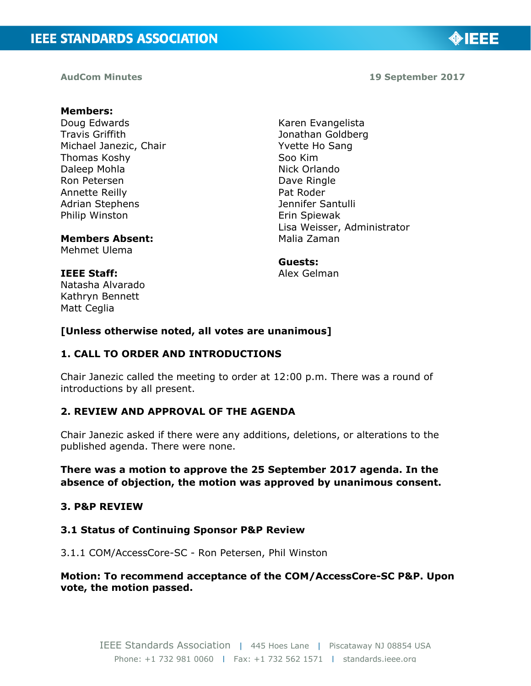**AudCom Minutes 19 September 2017**

◈IEEE

### **Members:**

Doug Edwards Travis Griffith Michael Janezic, Chair Thomas Koshy Daleep Mohla Ron Petersen Annette Reilly Adrian Stephens Philip Winston

#### **Members Absent:**

Mehmet Ulema

#### **IEEE Staff:**

Natasha Alvarado Kathryn Bennett Matt Ceglia

Karen Evangelista Jonathan Goldberg Yvette Ho Sang Soo Kim Nick Orlando Dave Ringle Pat Roder Jennifer Santulli Erin Spiewak Lisa Weisser, Administrator Malia Zaman

#### **Guests:**

Alex Gelman

#### **[Unless otherwise noted, all votes are unanimous]**

#### **1. CALL TO ORDER AND INTRODUCTIONS**

Chair Janezic called the meeting to order at 12:00 p.m. There was a round of introductions by all present.

### **2. REVIEW AND APPROVAL OF THE AGENDA**

Chair Janezic asked if there were any additions, deletions, or alterations to the published agenda. There were none.

#### **There was a motion to approve the 25 September 2017 agenda. In the absence of objection, the motion was approved by unanimous consent.**

#### **3. P&P REVIEW**

#### **3.1 Status of Continuing Sponsor P&P Review**

#### 3.1.1 COM/AccessCore-SC - Ron Petersen, Phil Winston

#### **Motion: To recommend acceptance of the COM/AccessCore-SC P&P. Upon vote, the motion passed.**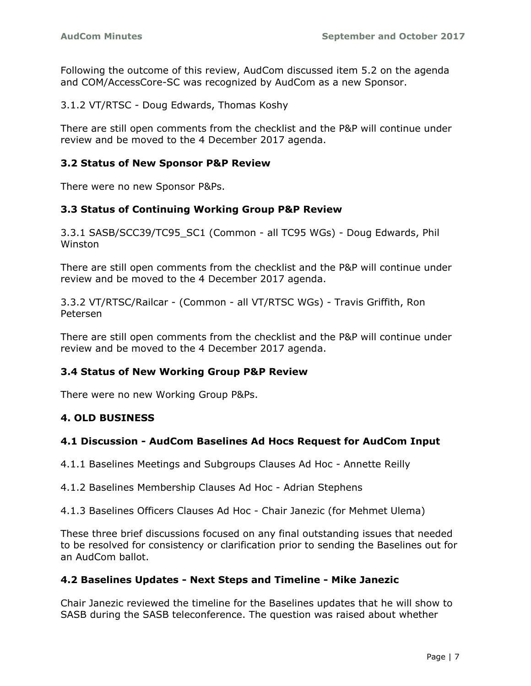Following the outcome of this review, AudCom discussed item 5.2 on the agenda and COM/AccessCore-SC was recognized by AudCom as a new Sponsor.

3.1.2 VT/RTSC - Doug Edwards, Thomas Koshy

There are still open comments from the checklist and the P&P will continue under review and be moved to the 4 December 2017 agenda.

### **3.2 Status of New Sponsor P&P Review**

There were no new Sponsor P&Ps.

#### **3.3 Status of Continuing Working Group P&P Review**

3.3.1 SASB/SCC39/TC95\_SC1 (Common - all TC95 WGs) - Doug Edwards, Phil Winston

There are still open comments from the checklist and the P&P will continue under review and be moved to the 4 December 2017 agenda.

3.3.2 VT/RTSC/Railcar - (Common - all VT/RTSC WGs) - Travis Griffith, Ron Petersen

There are still open comments from the checklist and the P&P will continue under review and be moved to the 4 December 2017 agenda.

#### **3.4 Status of New Working Group P&P Review**

There were no new Working Group P&Ps.

#### **4. OLD BUSINESS**

#### **4.1 Discussion - AudCom Baselines Ad Hocs Request for AudCom Input**

4.1.1 Baselines Meetings and Subgroups Clauses Ad Hoc - Annette Reilly

4.1.2 Baselines Membership Clauses Ad Hoc - Adrian Stephens

4.1.3 Baselines Officers Clauses Ad Hoc - Chair Janezic (for Mehmet Ulema)

These three brief discussions focused on any final outstanding issues that needed to be resolved for consistency or clarification prior to sending the Baselines out for an AudCom ballot.

#### **4.2 Baselines Updates - Next Steps and Timeline - Mike Janezic**

Chair Janezic reviewed the timeline for the Baselines updates that he will show to SASB during the SASB teleconference. The question was raised about whether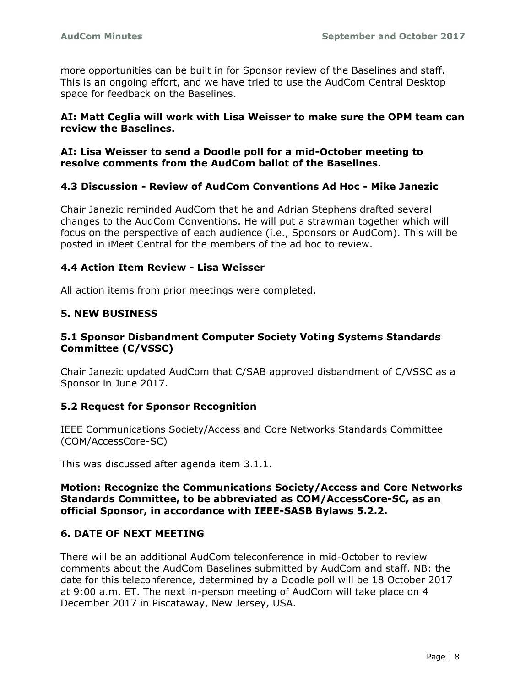more opportunities can be built in for Sponsor review of the Baselines and staff. This is an ongoing effort, and we have tried to use the AudCom Central Desktop space for feedback on the Baselines.

### **AI: Matt Ceglia will work with Lisa Weisser to make sure the OPM team can review the Baselines.**

#### **AI: Lisa Weisser to send a Doodle poll for a mid-October meeting to resolve comments from the AudCom ballot of the Baselines.**

### **4.3 Discussion - Review of AudCom Conventions Ad Hoc - Mike Janezic**

Chair Janezic reminded AudCom that he and Adrian Stephens drafted several changes to the AudCom Conventions. He will put a strawman together which will focus on the perspective of each audience (i.e., Sponsors or AudCom). This will be posted in iMeet Central for the members of the ad hoc to review.

### **4.4 Action Item Review - Lisa Weisser**

All action items from prior meetings were completed.

### **5. NEW BUSINESS**

### **5.1 Sponsor Disbandment Computer Society Voting Systems Standards Committee (C/VSSC)**

Chair Janezic updated AudCom that C/SAB approved disbandment of C/VSSC as a Sponsor in June 2017.

### **5.2 Request for Sponsor Recognition**

IEEE Communications Society/Access and Core Networks Standards Committee (COM/AccessCore-SC)

This was discussed after agenda item 3.1.1.

#### **Motion: Recognize the Communications Society/Access and Core Networks Standards Committee, to be abbreviated as COM/AccessCore-SC, as an official Sponsor, in accordance with IEEE-SASB Bylaws 5.2.2.**

### **6. DATE OF NEXT MEETING**

There will be an additional AudCom teleconference in mid-October to review comments about the AudCom Baselines submitted by AudCom and staff. NB: the date for this teleconference, determined by a Doodle poll will be 18 October 2017 at 9:00 a.m. ET. The next in-person meeting of AudCom will take place on 4 December 2017 in Piscataway, New Jersey, USA.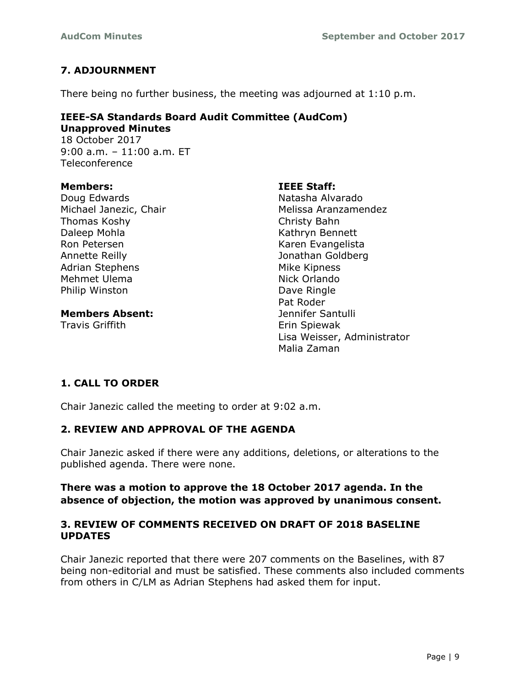# **7. ADJOURNMENT**

There being no further business, the meeting was adjourned at 1:10 p.m.

#### **IEEE-SA Standards Board Audit Committee (AudCom) Unapproved Minutes**

18 October 2017 9:00 a.m. – 11:00 a.m. ET Teleconference

#### **Members:**

Doug Edwards Michael Janezic, Chair Thomas Koshy Daleep Mohla Ron Petersen Annette Reilly Adrian Stephens Mehmet Ulema Philip Winston

**Members Absent:**

Travis Griffith

### **IEEE Staff:**

Natasha Alvarado Melissa Aranzamendez Christy Bahn Kathryn Bennett Karen Evangelista Jonathan Goldberg Mike Kipness Nick Orlando Dave Ringle Pat Roder Jennifer Santulli Erin Spiewak Lisa Weisser, Administrator Malia Zaman

# **1. CALL TO ORDER**

Chair Janezic called the meeting to order at 9:02 a.m.

## **2. REVIEW AND APPROVAL OF THE AGENDA**

Chair Janezic asked if there were any additions, deletions, or alterations to the published agenda. There were none.

### **There was a motion to approve the 18 October 2017 agenda. In the absence of objection, the motion was approved by unanimous consent.**

### **3. REVIEW OF COMMENTS RECEIVED ON DRAFT OF 2018 BASELINE UPDATES**

Chair Janezic reported that there were 207 comments on the Baselines, with 87 being non-editorial and must be satisfied. These comments also included comments from others in C/LM as Adrian Stephens had asked them for input.